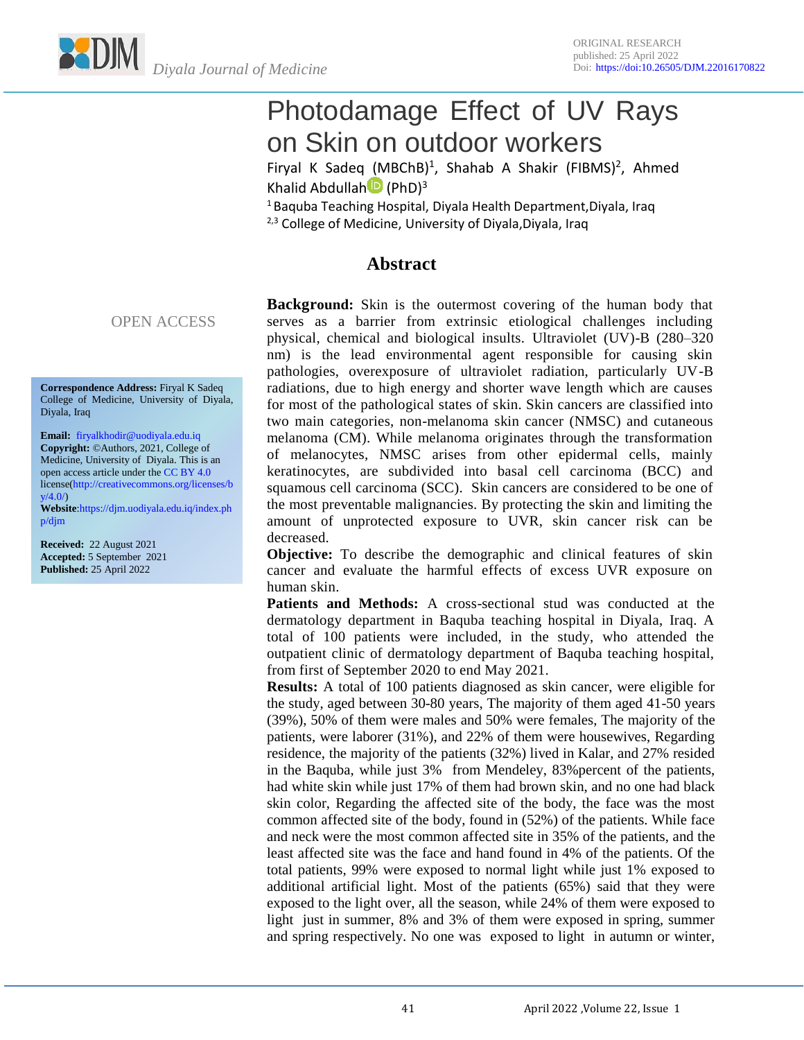Photodamage Effect of UV Rays on Skin on outdoor workers

Firyal K Sadeq (MBChB)<sup>1</sup>, Shahab A Shakir (FIBMS)<sup>2</sup>, Ahmed Khalid Abdullah<sup>D</sup> (PhD)<sup>3</sup>

<sup>1</sup> Baquba Teaching Hospital, Diyala Health Department,Diyala, Iraq <sup>2,3</sup> College of Medicine, University of Diyala,Diyala, Iraq

## **Abstract**

**Background:** Skin is the outermost covering of the human body that serves as a barrier from extrinsic etiological challenges including physical, chemical and biological insults. Ultraviolet (UV)-B (280–320 nm) is the lead environmental agent responsible for causing skin pathologies, overexposure of ultraviolet radiation, particularly UV-B radiations, due to high energy and shorter wave length which are causes for most of the pathological states of skin. Skin cancers are classified into two main categories, non-melanoma skin cancer (NMSC) and cutaneous melanoma (CM). While melanoma originates through the transformation of melanocytes, NMSC arises from other epidermal cells, mainly keratinocytes, are subdivided into basal cell carcinoma (BCC) and squamous cell carcinoma (SCC). Skin cancers are considered to be one of the most preventable malignancies. By protecting the skin and limiting the amount of unprotected exposure to UVR, skin cancer risk can be decreased.

**Objective:** To describe the demographic and clinical features of skin cancer and evaluate the harmful effects of excess UVR exposure on human skin.

**Patients and Methods:** A cross-sectional stud was conducted at the dermatology department in Baquba teaching hospital in Diyala, Iraq. A total of 100 patients were included, in the study, who attended the outpatient clinic of dermatology department of Baquba teaching hospital, from first of September 2020 to end May 2021.

**Results:** A total of 100 patients diagnosed as skin cancer, were eligible for the study, aged between 30-80 years, The majority of them aged 41-50 years (39%), 50% of them were males and 50% were females, The majority of the patients, were laborer (31%), and 22% of them were housewives, Regarding residence, the majority of the patients (32%) lived in Kalar, and 27% resided in the Baquba, while just 3% from Mendeley, 83%percent of the patients, had white skin while just 17% of them had brown skin, and no one had black skin color, Regarding the affected site of the body, the face was the most common affected site of the body, found in (52%) of the patients. While face and neck were the most common affected site in 35% of the patients, and the least affected site was the face and hand found in 4% of the patients. Of the total patients, 99% were exposed to normal light while just 1% exposed to additional artificial light. Most of the patients (65%) said that they were exposed to the light over, all the season, while 24% of them were exposed to light just in summer, 8% and 3% of them were exposed in spring, summer and spring respectively. No one was exposed to light in autumn or winter,

#### OPEN ACCESS

**Correspondence Address:** Firyal K Sadeq College of Medicine, University of Diyala, Diyala, Iraq

**Email:** [firyalkhodir@uodiyala.edu.iq](mailto:firyalkhodir@uodiyala.edu.iq) **Copyright:** ©Authors, 2021, College of Medicine, University of Diyala. This is an open access article under th[e CC BY 4.0](https://creativecommons.org/licenses/by/4.0/) licens[e\(http://creativecommons.org/licenses/b](http://creativecommons.org/licenses/by/4.0/)  $v/4.0$ 

**Website**[:https://djm.uodiyala.edu.iq/index.ph](https://djm.uodiyala.edu.iq/index.php/djm) [p/djm](https://djm.uodiyala.edu.iq/index.php/djm)

**Received:** 22 August 2021 **Accepted:** 5 September 2021 **Published:** 25 April 2022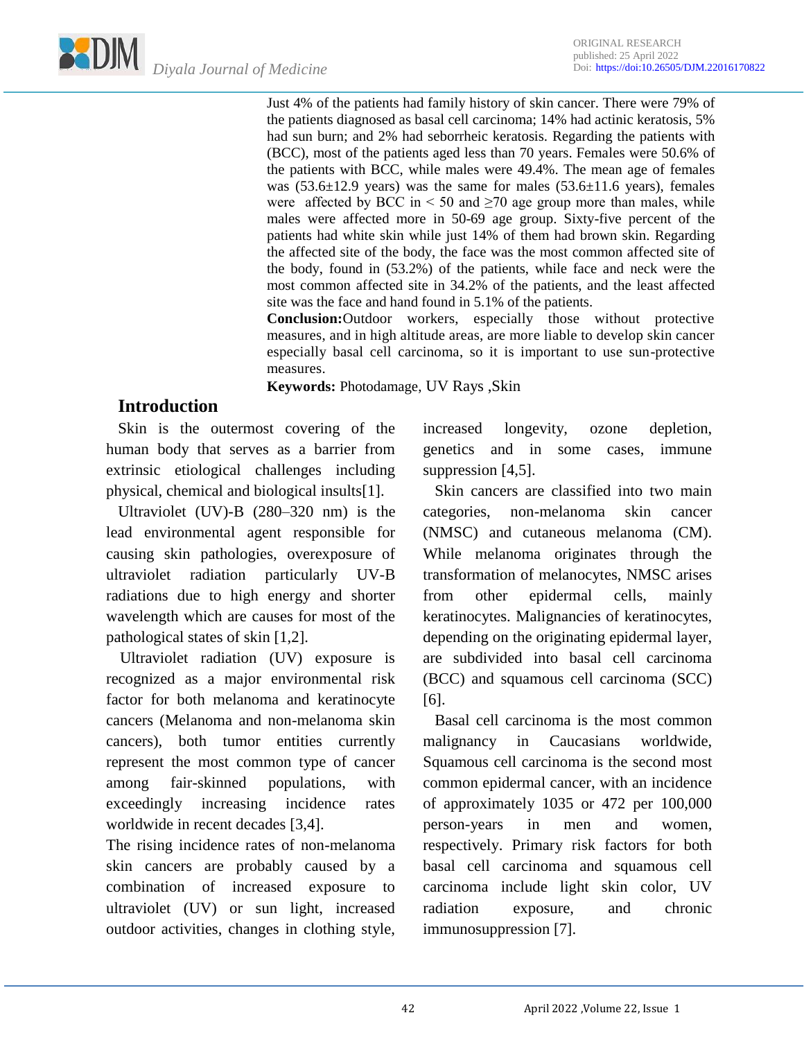Just 4% of the patients had family history of skin cancer. There were 79% of the patients diagnosed as basal cell carcinoma; 14% had actinic keratosis, 5% had sun burn; and 2% had seborrheic keratosis. Regarding the patients with (BCC), most of the patients aged less than 70 years. Females were 50.6% of the patients with BCC, while males were 49.4%. The mean age of females was  $(53.6\pm12.9 \text{ years})$  was the same for males  $(53.6\pm11.6 \text{ years})$ , females were affected by BCC in  $\leq 50$  and  $\geq 70$  age group more than males, while males were affected more in 50-69 age group. Sixty-five percent of the patients had white skin while just 14% of them had brown skin. Regarding the affected site of the body, the face was the most common affected site of the body, found in (53.2%) of the patients, while face and neck were the most common affected site in 34.2% of the patients, and the least affected site was the face and hand found in 5.1% of the patients.

**Conclusion:**Outdoor workers, especially those without protective measures, and in high altitude areas, are more liable to develop skin cancer especially basal cell carcinoma, so it is important to use sun-protective measures.

**Keywords:** Photodamage, UV Rays ,Skin

# **Introduction**

 Skin is the outermost covering of the human body that serves as a barrier from extrinsic etiological challenges including physical, chemical and biological insults[1].

 Ultraviolet (UV)-B (280–320 nm) is the lead environmental agent responsible for causing skin pathologies, overexposure of ultraviolet radiation particularly UV-B radiations due to high energy and shorter wavelength which are causes for most of the pathological states of skin [1,2].

 Ultraviolet radiation (UV) exposure is recognized as a major environmental risk factor for both melanoma and keratinocyte cancers (Melanoma and non-melanoma skin cancers), both tumor entities currently represent the most common type of cancer among fair-skinned populations, with exceedingly increasing incidence rates worldwide in recent decades [3,4].

The rising incidence rates of non-melanoma skin cancers are probably caused by a combination of increased exposure to ultraviolet (UV) or sun light, increased outdoor activities, changes in clothing style, increased longevity, ozone depletion, genetics and in some cases, immune suppression [4,5].

 Skin cancers are classified into two main categories, non-melanoma skin cancer (NMSC) and cutaneous melanoma (CM). While melanoma originates through the transformation of melanocytes, NMSC arises from other epidermal cells, mainly keratinocytes. Malignancies of keratinocytes, depending on the originating epidermal layer, are subdivided into basal cell carcinoma (BCC) and squamous cell carcinoma (SCC) [6].

 Basal cell carcinoma is the most common malignancy in Caucasians worldwide, Squamous cell carcinoma is the second most common epidermal cancer, with an incidence of approximately 1035 or 472 per 100,000 person-years in men and women, respectively. Primary risk factors for both basal cell carcinoma and squamous cell carcinoma include light skin color, UV radiation exposure, and chronic immunosuppression [7].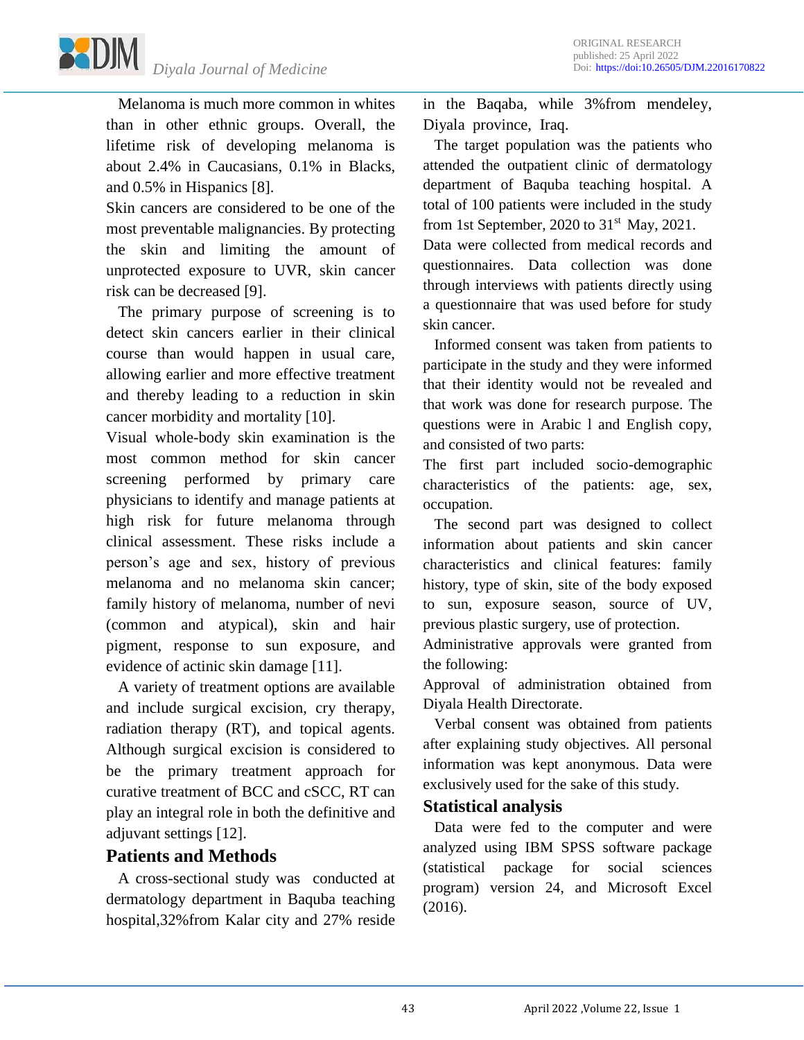*Diyala Journal of Medicine*

 Melanoma is much more common in whites than in other ethnic groups. Overall, the lifetime risk of developing melanoma is about 2.4% in Caucasians, 0.1% in Blacks, and 0.5% in Hispanics [8].

Skin cancers are considered to be one of the most preventable malignancies. By protecting the skin and limiting the amount of unprotected exposure to UVR, skin cancer risk can be decreased [9].

 The primary purpose of screening is to detect skin cancers earlier in their clinical course than would happen in usual care, allowing earlier and more effective treatment and thereby leading to a reduction in skin cancer morbidity and mortality [10].

Visual whole-body skin examination is the most common method for skin cancer screening performed by primary care physicians to identify and manage patients at high risk for future melanoma through clinical assessment. These risks include a person's age and sex, history of previous melanoma and no melanoma skin cancer; family history of melanoma, number of nevi (common and atypical), skin and hair pigment, response to sun exposure, and evidence of actinic skin damage [11].

 A variety of treatment options are available and include surgical excision, cry therapy, radiation therapy (RT), and topical agents. Although surgical excision is considered to be the primary treatment approach for curative treatment of BCC and cSCC, RT can play an integral role in both the definitive and adjuvant settings [12].

## **Patients and Methods**

 A cross-sectional study was conducted at dermatology department in Baquba teaching hospital,32%from Kalar city and 27% reside in the Baqaba, while 3%from mendeley, Diyala province, Iraq.

 The target population was the patients who attended the outpatient clinic of dermatology department of Baquba teaching hospital. A total of 100 patients were included in the study from 1st September, 2020 to  $31<sup>st</sup>$  May, 2021.

Data were collected from medical records and questionnaires. Data collection was done through interviews with patients directly using a questionnaire that was used before for study skin cancer.

 Informed consent was taken from patients to participate in the study and they were informed that their identity would not be revealed and that work was done for research purpose. The questions were in Arabic l and English copy, and consisted of two parts:

The first part included socio-demographic characteristics of the patients: age, sex, occupation.

 The second part was designed to collect information about patients and skin cancer characteristics and clinical features: family history, type of skin, site of the body exposed to sun, exposure season, source of UV, previous plastic surgery, use of protection.

Administrative approvals were granted from the following:

Approval of administration obtained from Diyala Health Directorate.

 Verbal consent was obtained from patients after explaining study objectives. All personal information was kept anonymous. Data were exclusively used for the sake of this study.

### **Statistical analysis**

 Data were fed to the computer and were analyzed using IBM SPSS software package (statistical package for social sciences program) version 24, and Microsoft Excel (2016).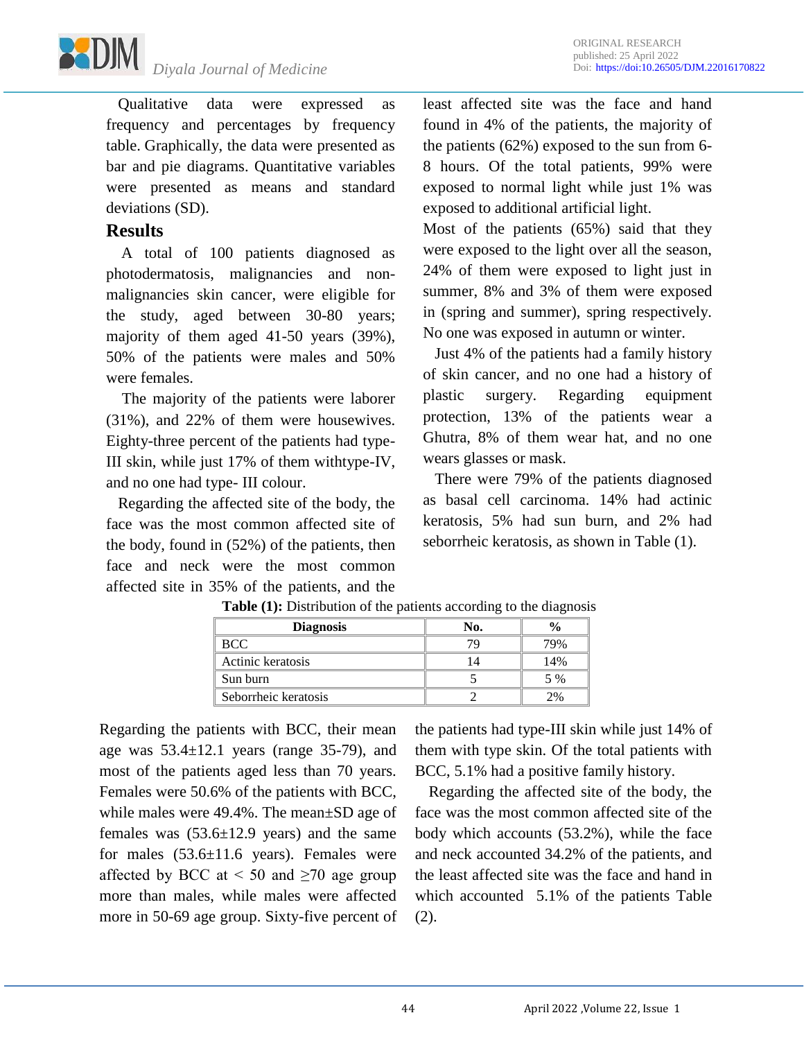

 Qualitative data were expressed as frequency and percentages by frequency table. Graphically, the data were presented as bar and pie diagrams. Quantitative variables were presented as means and standard deviations (SD).

## **Results**

 A total of 100 patients diagnosed as photodermatosis, malignancies and nonmalignancies skin cancer, were eligible for the study, aged between 30-80 years; majority of them aged 41-50 years (39%), 50% of the patients were males and 50% were females.

 The majority of the patients were laborer (31%), and 22% of them were housewives. Eighty-three percent of the patients had type-III skin, while just 17% of them withtype-IV, and no one had type- III colour.

 Regarding the affected site of the body, the face was the most common affected site of the body, found in (52%) of the patients, then face and neck were the most common affected site in 35% of the patients, and the

least affected site was the face and hand found in 4% of the patients, the majority of the patients (62%) exposed to the sun from 6- 8 hours. Of the total patients, 99% were exposed to normal light while just 1% was exposed to additional artificial light.

Most of the patients (65%) said that they were exposed to the light over all the season, 24% of them were exposed to light just in summer, 8% and 3% of them were exposed in (spring and summer), spring respectively. No one was exposed in autumn or winter.

 Just 4% of the patients had a family history of skin cancer, and no one had a history of plastic surgery. Regarding equipment protection, 13% of the patients wear a Ghutra, 8% of them wear hat, and no one wears glasses or mask.

 There were 79% of the patients diagnosed as basal cell carcinoma. 14% had actinic keratosis, 5% had sun burn, and 2% had seborrheic keratosis, as shown in Table (1).

| <b>Diagnosis</b>     | No. |       |
|----------------------|-----|-------|
| <b>BCC</b>           |     | 79%   |
| Actinic keratosis    |     | 14%   |
| Sun burn             |     | 5 %   |
| Seborrheic keratosis |     | $2\%$ |

**Table (1):** Distribution of the patients according to the diagnosis

Regarding the patients with BCC, their mean age was  $53.4 \pm 12.1$  years (range 35-79), and most of the patients aged less than 70 years. Females were 50.6% of the patients with BCC, while males were 49.4%. The mean±SD age of females was  $(53.6 \pm 12.9$  years) and the same for males  $(53.6 \pm 11.6 \text{ years})$ . Females were affected by BCC at  $\leq 50$  and  $\geq 70$  age group more than males, while males were affected more in 50-69 age group. Sixty-five percent of the patients had type-III skin while just 14% of them with type skin. Of the total patients with BCC, 5.1% had a positive family history.

Regarding the affected site of the body, the face was the most common affected site of the body which accounts (53.2%), while the face and neck accounted 34.2% of the patients, and the least affected site was the face and hand in which accounted 5.1% of the patients Table (2).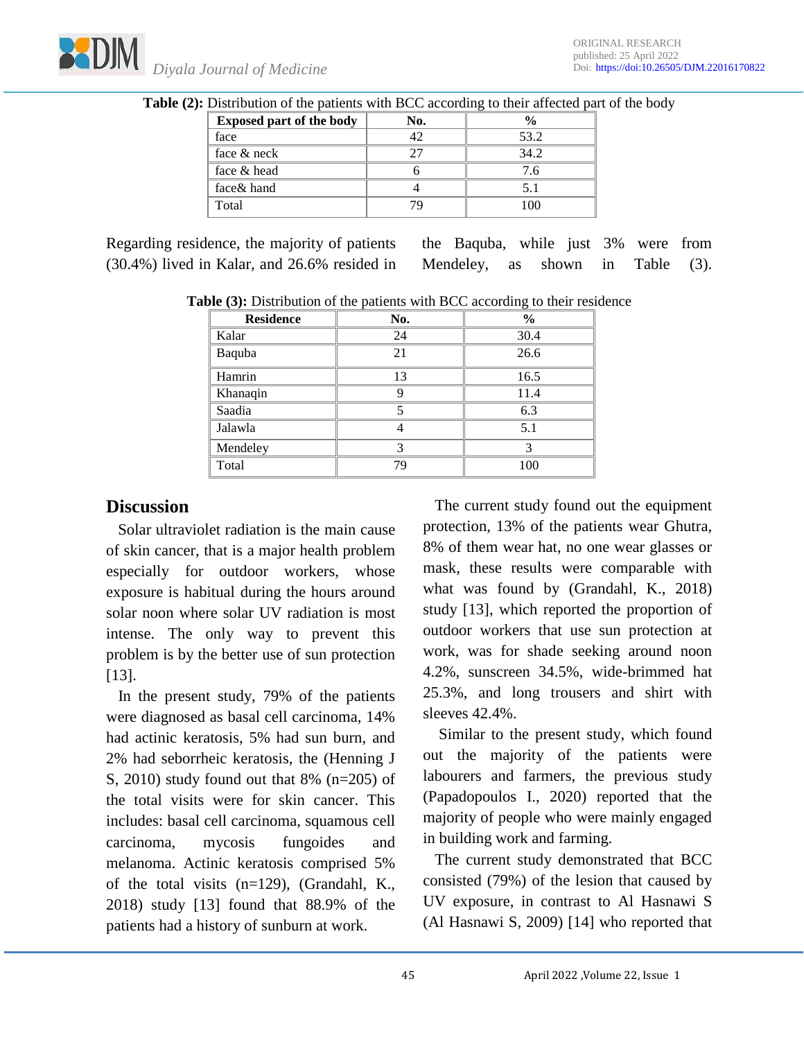| <b>Exposed part of the body</b> | No. |      |
|---------------------------------|-----|------|
| face                            |     | 53.2 |
| face & neck                     |     | 34.2 |
| face & head                     |     | -6   |
| face& hand                      |     |      |
| Total                           |     |      |

**Table (2):** Distribution of the patients with BCC according to their affected part of the body

Regarding residence, the majority of patients (30.4%) lived in Kalar, and 26.6% resided in the Baquba, while just 3% were from Mendeley, as shown in Table (3).

**Table (3):** Distribution of the patients with BCC according to their residence

| <b>Residence</b> | No. | $\frac{0}{0}$ |
|------------------|-----|---------------|
| Kalar            | 24  | 30.4          |
| Baquba           | 21  | 26.6          |
| Hamrin           | 13  | 16.5          |
| Khanaqin         | Ω   | 11.4          |
| Saadia           |     | 6.3           |
| Jalawla          |     | 5.1           |
| Mendeley         | 2   | 3             |
| Total            | 79  | 100           |

# **Discussion**

 Solar ultraviolet radiation is the main cause of skin cancer, that is a major health problem especially for outdoor workers, whose exposure is habitual during the hours around solar noon where solar UV radiation is most intense. The only way to prevent this problem is by the better use of sun protection [13].

 In the present study, 79% of the patients were diagnosed as basal cell carcinoma, 14% had actinic keratosis, 5% had sun burn, and 2% had seborrheic keratosis, the (Henning J S, 2010) study found out that 8% (n=205) of the total visits were for skin cancer. This includes: basal cell carcinoma, squamous cell carcinoma, mycosis fungoides and melanoma. Actinic keratosis comprised 5% of the total visits (n=129), (Grandahl, K., 2018) study [13] found that 88.9% of the patients had a history of sunburn at work.

 The current study found out the equipment protection, 13% of the patients wear Ghutra, 8% of them wear hat, no one wear glasses or mask, these results were comparable with what was found by (Grandahl, K., 2018) study [13], which reported the proportion of outdoor workers that use sun protection at work, was for shade seeking around noon 4.2%, sunscreen 34.5%, wide-brimmed hat 25.3%, and long trousers and shirt with sleeves 42.4%.

 Similar to the present study, which found out the majority of the patients were labourers and farmers, the previous study (Papadopoulos I., 2020) reported that the majority of people who were mainly engaged in building work and farming.

 The current study demonstrated that BCC consisted (79%) of the lesion that caused by UV exposure, in contrast to Al Hasnawi S (Al Hasnawi S, 2009) [14] who reported that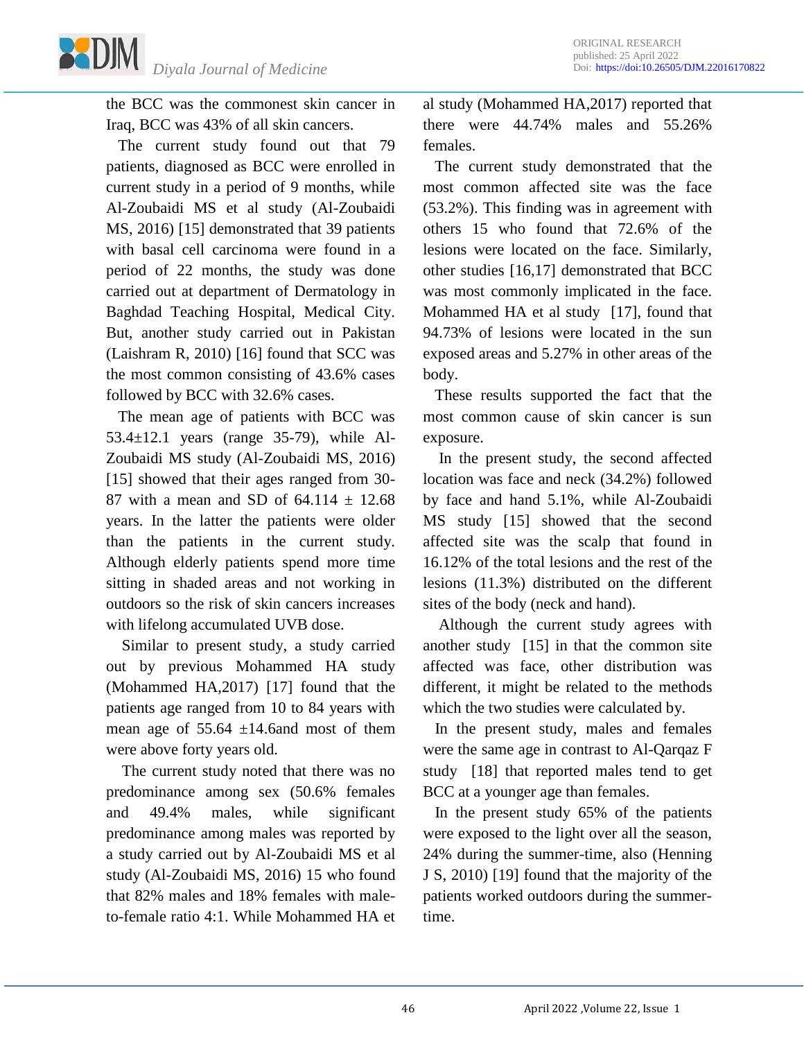

the BCC was the commonest skin cancer in Iraq, BCC was 43% of all skin cancers.

The current study found out that 79 patients, diagnosed as BCC were enrolled in current study in a period of 9 months, while Al-Zoubaidi MS et al study (Al-Zoubaidi MS, 2016) [15] demonstrated that 39 patients with basal cell carcinoma were found in a period of 22 months, the study was done carried out at department of Dermatology in Baghdad Teaching Hospital, Medical City. But, another study carried out in Pakistan (Laishram R, 2010) [16] found that SCC was the most common consisting of 43.6% cases followed by BCC with 32.6% cases.

 The mean age of patients with BCC was 53.4±12.1 years (range 35-79), while Al-Zoubaidi MS study (Al-Zoubaidi MS, 2016) [15] showed that their ages ranged from 30-87 with a mean and SD of  $64.114 \pm 12.68$ years. In the latter the patients were older than the patients in the current study. Although elderly patients spend more time sitting in shaded areas and not working in outdoors so the risk of skin cancers increases with lifelong accumulated UVB dose.

 Similar to present study, a study carried out by previous Mohammed HA study (Mohammed HA,2017) [17] found that the patients age ranged from 10 to 84 years with mean age of  $55.64 \pm 14.6$  and most of them were above forty years old.

 The current study noted that there was no predominance among sex (50.6% females and 49.4% males, while significant predominance among males was reported by a study carried out by Al-Zoubaidi MS et al study (Al-Zoubaidi MS, 2016) 15 who found that 82% males and 18% females with maleto-female ratio 4:1. While Mohammed HA et al study (Mohammed HA,2017) reported that there were 44.74% males and 55.26% females.

 The current study demonstrated that the most common affected site was the face (53.2%). This finding was in agreement with others 15 who found that 72.6% of the lesions were located on the face. Similarly, other studies [16,17] demonstrated that BCC was most commonly implicated in the face. Mohammed HA et al study [17], found that 94.73% of lesions were located in the sun exposed areas and 5.27% in other areas of the body.

 These results supported the fact that the most common cause of skin cancer is sun exposure.

 In the present study, the second affected location was face and neck (34.2%) followed by face and hand 5.1%, while Al-Zoubaidi MS study [15] showed that the second affected site was the scalp that found in 16.12% of the total lesions and the rest of the lesions (11.3%) distributed on the different sites of the body (neck and hand).

 Although the current study agrees with another study [15] in that the common site affected was face, other distribution was different, it might be related to the methods which the two studies were calculated by.

 In the present study, males and females were the same age in contrast to Al-Qarqaz F study [18] that reported males tend to get BCC at a younger age than females.

 In the present study 65% of the patients were exposed to the light over all the season, 24% during the summer-time, also (Henning J S, 2010) [19] found that the majority of the patients worked outdoors during the summertime.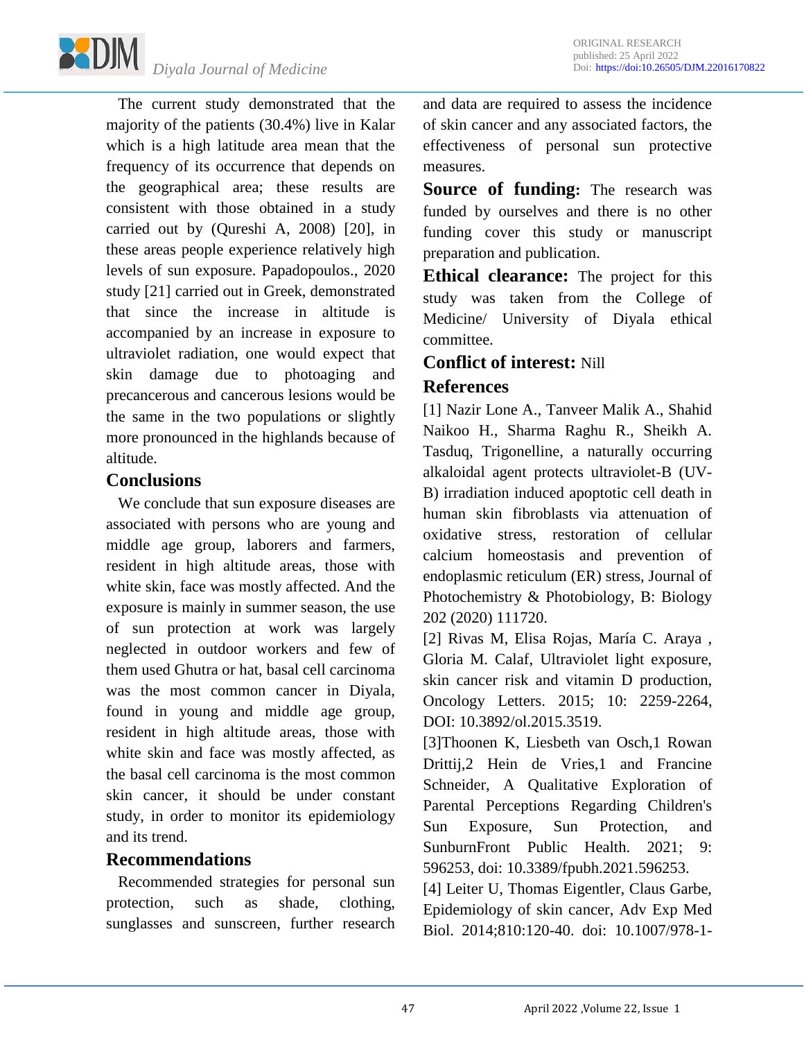

 The current study demonstrated that the majority of the patients (30.4%) live in Kalar which is a high latitude area mean that the frequency of its occurrence that depends on the geographical area; these results are consistent with those obtained in a study carried out by (Qureshi A, 2008) [20], in these areas people experience relatively high levels of sun exposure. Papadopoulos., 2020 study [21] carried out in Greek, demonstrated that since the increase in altitude is accompanied by an increase in exposure to ultraviolet radiation, one would expect that skin damage due to photoaging and precancerous and cancerous lesions would be the same in the two populations or slightly more pronounced in the highlands because of altitude.

### **Conclusions**

 We conclude that sun exposure diseases are associated with persons who are young and middle age group, laborers and farmers, resident in high altitude areas, those with white skin, face was mostly affected. And the exposure is mainly in summer season, the use of sun protection at work was largely neglected in outdoor workers and few of them used Ghutra or hat, basal cell carcinoma was the most common cancer in Diyala, found in young and middle age group, resident in high altitude areas, those with white skin and face was mostly affected, as the basal cell carcinoma is the most common skin cancer, it should be under constant study, in order to monitor its epidemiology and its trend.

## **Recommendations**

 Recommended strategies for personal sun protection, such as shade, clothing, sunglasses and sunscreen, further research

and data are required to assess the incidence of skin cancer and any associated factors, the effectiveness of personal sun protective measures.

**Source of funding:** The research was funded by ourselves and there is no other funding cover this study or manuscript preparation and publication.

**Ethical clearance:** The project for this study was taken from the College of Medicine/ University of Diyala ethical committee.

## **Conflict of interest:** Nill

## **References**

[1] Nazir Lone A., Tanveer Malik A., Shahid Naikoo H., Sharma Raghu R., Sheikh A. Tasduq, Trigonelline, a naturally occurring alkaloidal agent protects ultraviolet-B (UV-B) irradiation induced apoptotic cell death in human skin fibroblasts via attenuation of oxidative stress, restoration of cellular calcium homeostasis and prevention of endoplasmic reticulum (ER) stress, Journal of Photochemistry & Photobiology, B: Biology 202 (2020) 111720.

[2] Rivas M, Elisa Rojas, María C. Araya , Gloria M. Calaf, Ultraviolet light exposure, skin cancer risk and vitamin D production, Oncology Letters. 2015; 10: 2259-2264, DOI: 10.3892/ol.2015.3519.

[3]Thoonen K, Liesbeth van Osch,1 Rowan Drittij,2 Hein de Vries,1 and Francine Schneider, A Qualitative Exploration of Parental Perceptions Regarding Children's Sun Exposure, Sun Protection, and SunburnFront Public Health. 2021; 9: 596253, doi: 10.3389/fpubh.2021.596253.

[4] Leiter U, Thomas Eigentler, Claus Garbe, Epidemiology of skin cancer, Adv Exp Med Biol. 2014;810:120-40. doi: 10.1007/978-1-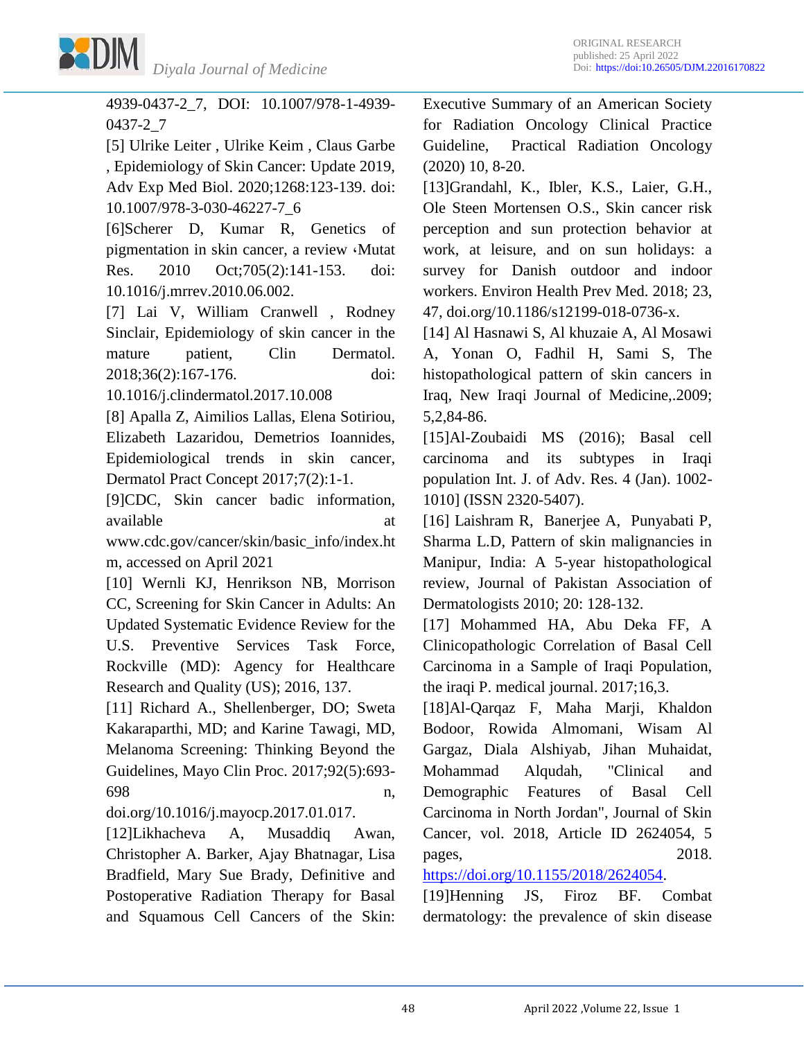

4939-0437-2\_7, DOI: 10.1007/978-1-4939- 0437-2\_7

[5] Ulrike Leiter , Ulrike Keim , Claus Garbe , Epidemiology of Skin Cancer: Update 2019, Adv Exp Med Biol. 2020;1268:123-139. doi: 10.1007/978-3-030-46227-7\_6

[6]Scherer D, Kumar R, Genetics of pigmentation in skin cancer, a review ,Mutat Res. 2010 Oct;705(2):141-153. doi: 10.1016/j.mrrev.2010.06.002.

[7] Lai V, William Cranwell , Rodney Sinclair, Epidemiology of skin cancer in the mature patient, Clin Dermatol. 2018;36(2):167-176. doi:

10.1016/j.clindermatol.2017.10.008

[8] Apalla Z, Aimilios Lallas, Elena Sotiriou, Elizabeth Lazaridou, Demetrios Ioannides, Epidemiological trends in skin cancer, Dermatol Pract Concept 2017;7(2):1-1.

[9]CDC, Skin cancer badic information, available at a state at a state at a state at a state at a state at a state at a state at a state at a state at  $\alpha$ 

www.cdc.gov/cancer/skin/basic\_info/index.ht m, accessed on April 2021

[10] Wernli KJ, Henrikson NB, Morrison CC, Screening for Skin Cancer in Adults: An Updated Systematic Evidence Review for the U.S. Preventive Services Task Force, Rockville (MD): Agency for Healthcare Research and Quality (US); 2016, 137.

[11] Richard A., Shellenberger, DO; Sweta Kakaraparthi, MD; and Karine Tawagi, MD, Melanoma Screening: Thinking Beyond the Guidelines, Mayo Clin Proc. 2017;92(5):693- 698 n,

doi.org/10.1016/j.mayocp.2017.01.017.

[12]Likhacheva A, Musaddiq Awan, Christopher A. Barker, Ajay Bhatnagar, Lisa Bradfield, Mary Sue Brady, Definitive and Postoperative Radiation Therapy for Basal and Squamous Cell Cancers of the Skin:

Executive Summary of an American Society for Radiation Oncology Clinical Practice Guideline, Practical Radiation Oncology (2020) 10, 8-20.

[13]Grandahl, K., Ibler, K.S., Laier, G.H., Ole Steen Mortensen O.S., Skin cancer risk perception and sun protection behavior at work, at leisure, and on sun holidays: a survey for Danish outdoor and indoor workers. Environ Health Prev Med. 2018; 23, 47, doi.org/10.1186/s12199-018-0736-x.

[14] Al Hasnawi S, Al khuzaie A, Al Mosawi A, Yonan O, Fadhil H, Sami S, The histopathological pattern of skin cancers in Iraq, New Iraqi Journal of Medicine,.2009; 5,2,84-86.

[15]Al-Zoubaidi MS (2016); Basal cell carcinoma and its subtypes in Iraqi population Int. J. of Adv. Res. 4 (Jan). 1002- 1010] (ISSN 2320-5407).

[16] Laishram R, Banerjee A, Punyabati P, Sharma L.D, Pattern of skin malignancies in Manipur, India: A 5-year histopathological review, Journal of Pakistan Association of Dermatologists 2010; 20: 128-132.

[17] Mohammed HA, Abu Deka FF, A Clinicopathologic Correlation of Basal Cell Carcinoma in a Sample of Iraqi Population, the iraqi P. medical journal. 2017;16,3.

[18]Al-Qarqaz F, Maha Marji, Khaldon Bodoor, Rowida Almomani, Wisam Al Gargaz, Diala Alshiyab, Jihan Muhaidat, Mohammad Alqudah, "Clinical and Demographic Features of Basal Cell Carcinoma in North Jordan", Journal of Skin Cancer, vol. 2018, Article ID 2624054, 5 pages, 2018.

[https://doi.org/10.1155/2018/2624054.](https://doi.org/10.1155/2018/2624054)

[19]Henning JS, Firoz BF. Combat dermatology: the prevalence of skin disease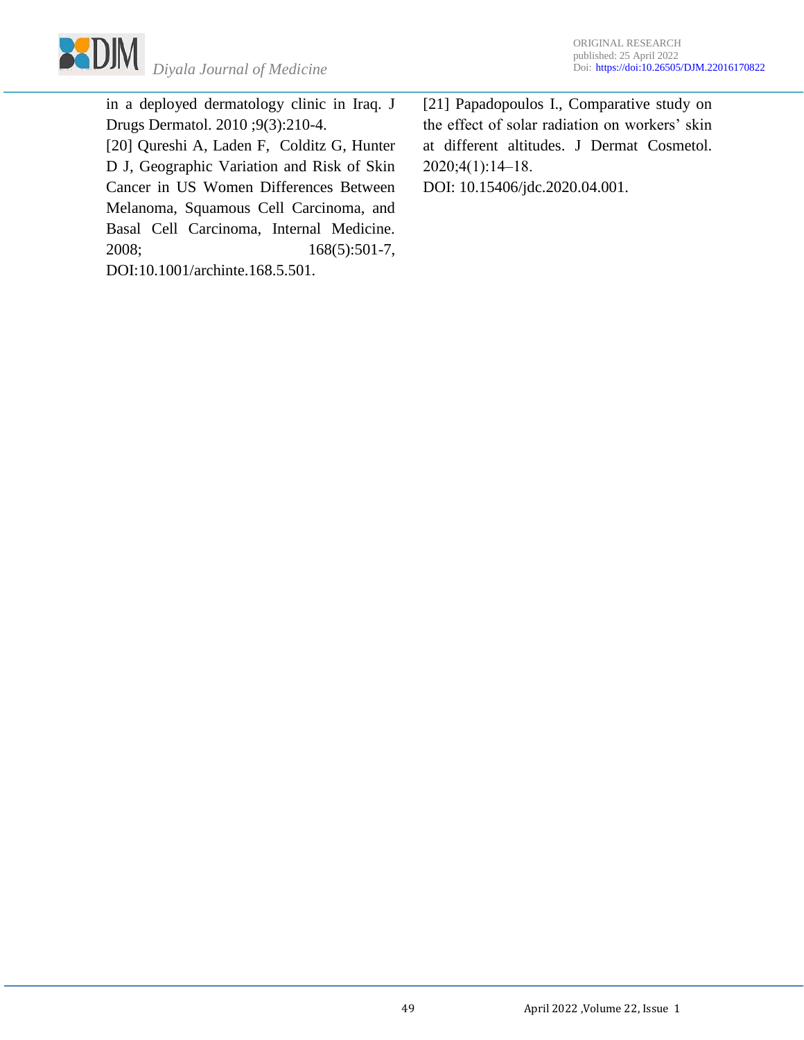

in a deployed dermatology clinic in Iraq. J Drugs Dermatol. 2010 ;9(3):210-4. [20] Qureshi A, Laden F, Colditz G, Hunter D J, Geographic Variation and Risk of Skin Cancer in US Women Differences Between Melanoma, Squamous Cell Carcinoma, and Basal Cell Carcinoma, Internal Medicine. 2008; 168(5):501-7, DOI:10.1001/archinte.168.5.501.

[21] Papadopoulos I., Comparative study on the effect of solar radiation on workers' skin at different altitudes. J Dermat Cosmetol. 2020;4(1):14‒18. DOI: 10.15406/jdc.2020.04.001.